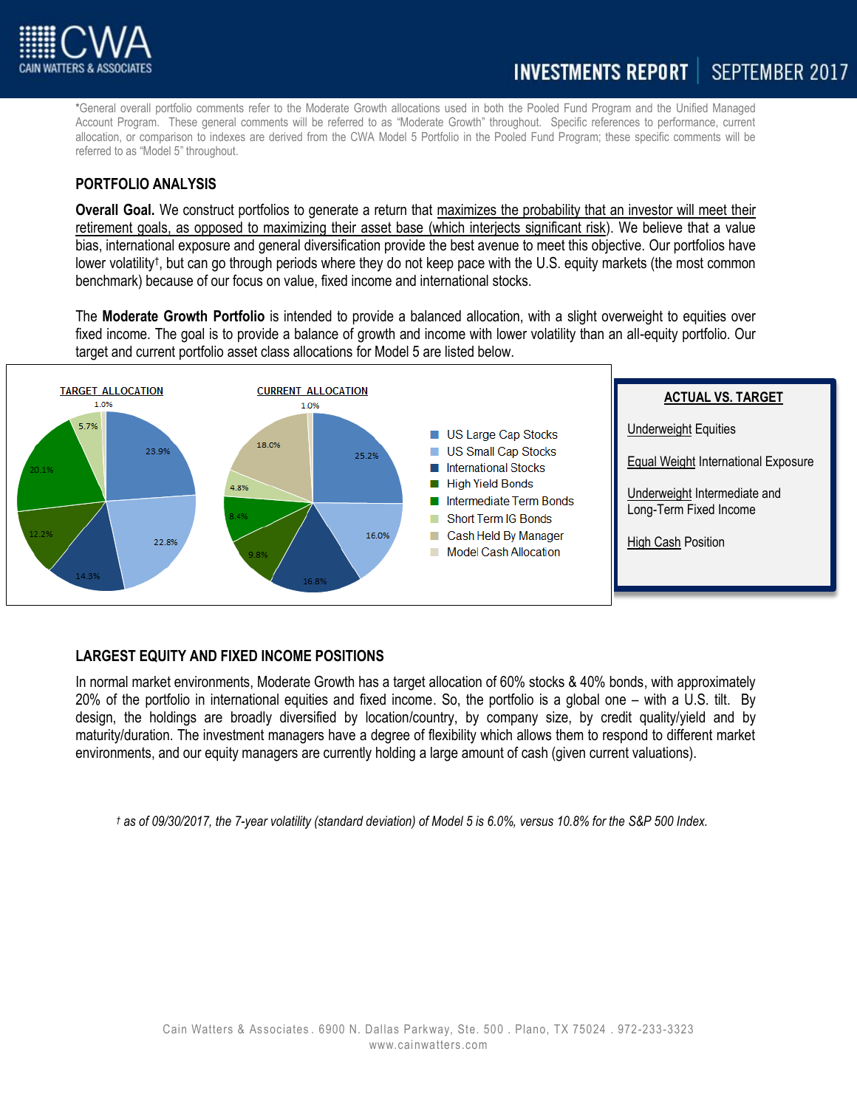

\*General overall portfolio comments refer to the Moderate Growth allocations used in both the Pooled Fund Program and the Unified Managed Account Program. These general comments will be referred to as "Moderate Growth" throughout. Specific references to performance, current allocation, or comparison to indexes are derived from the CWA Model 5 Portfolio in the Pooled Fund Program; these specific comments will be referred to as "Model 5" throughout.

## **PORTFOLIO ANALYSIS**

**Overall Goal.** We construct portfolios to generate a return that maximizes the probability that an investor will meet their retirement goals, as opposed to maximizing their asset base (which interjects significant risk). We believe that a value bias, international exposure and general diversification provide the best avenue to meet this objective. Our portfolios have lower volatility<sup>†</sup>, but can go through periods where they do not keep pace with the U.S. equity markets (the most common benchmark) because of our focus on value, fixed income and international stocks.

The **Moderate Growth Portfolio** is intended to provide a balanced allocation, with a slight overweight to equities over fixed income. The goal is to provide a balance of growth and income with lower volatility than an all-equity portfolio. Our target and current portfolio asset class allocations for Model 5 are listed below.



## **LARGEST EQUITY AND FIXED INCOME POSITIONS**

In normal market environments, Moderate Growth has a target allocation of 60% stocks & 40% bonds, with approximately 20% of the portfolio in international equities and fixed income. So, the portfolio is a global one – with a U.S. tilt. By design, the holdings are broadly diversified by location/country, by company size, by credit quality/yield and by maturity/duration. The investment managers have a degree of flexibility which allows them to respond to different market environments, and our equity managers are currently holding a large amount of cash (given current valuations).

*† as of 09/30/2017, the 7-year volatility (standard deviation) of Model 5 is 6.0%, versus 10.8% for the S&P 500 Index.*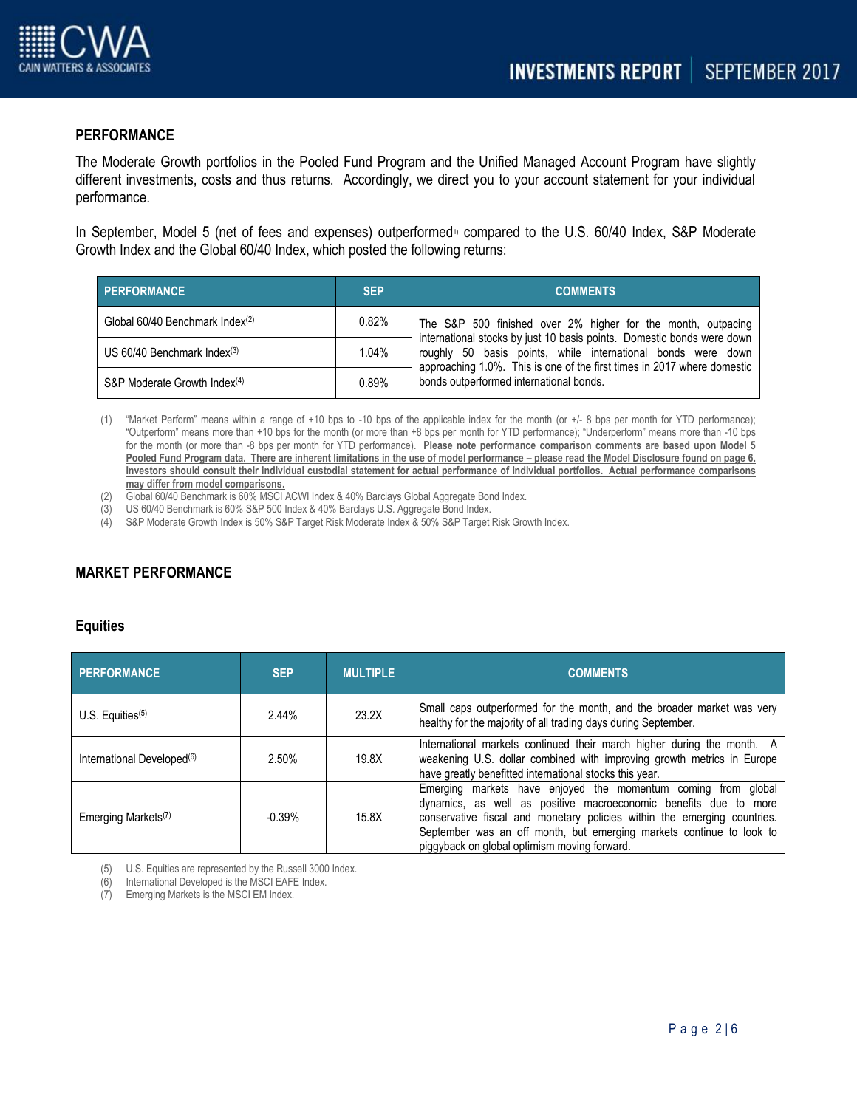

### **PERFORMANCE**

The Moderate Growth portfolios in the Pooled Fund Program and the Unified Managed Account Program have slightly different investments, costs and thus returns. Accordingly, we direct you to your account statement for your individual performance.

In September, Model 5 (net of fees and expenses) outperformed<sup>1</sup> compared to the U.S. 60/40 Index, S&P Moderate Growth Index and the Global 60/40 Index, which posted the following returns:

| PERFORMANCE                                 | <b>SEP</b> | <b>COMMENTS</b>                                                                                                                                                                                                                                                                                                              |
|---------------------------------------------|------------|------------------------------------------------------------------------------------------------------------------------------------------------------------------------------------------------------------------------------------------------------------------------------------------------------------------------------|
| Global 60/40 Benchmark Index <sup>(2)</sup> | 0.82%      | The S&P 500 finished over 2% higher for the month, outpacing<br>international stocks by just 10 basis points. Domestic bonds were down<br>roughly 50 basis points, while international bonds were down<br>approaching 1.0%. This is one of the first times in 2017 where domestic<br>bonds outperformed international bonds. |
| US $60/40$ Benchmark Index $(3)$            | 1.04%      |                                                                                                                                                                                                                                                                                                                              |
| S&P Moderate Growth Index <sup>(4)</sup>    | 0.89%      |                                                                                                                                                                                                                                                                                                                              |

(1) "Market Perform" means within a range of +10 bps to -10 bps of the applicable index for the month (or +/- 8 bps per month for YTD performance); "Outperform" means more than +10 bps for the month (or more than +8 bps per month for YTD performance); "Underperform" means more than -10 bps for the month (or more than -8 bps per month for YTD performance). **Please note performance comparison comments are based upon Model 5**  Pooled Fund Program data. There are inherent limitations in the use of model performance – please read the Model Disclosure found on page 6. **Investors should consult their individual custodial statement for actual performance of individual portfolios. Actual performance comparisons may differ from model comparisons.** 

- (2) Global 60/40 Benchmark is 60% MSCI ACWI Index & 40% Barclays Global Aggregate Bond Index.
- (3) US 60/40 Benchmark is 60% S&P 500 Index & 40% Barclays U.S. Aggregate Bond Index.
- (4) S&P Moderate Growth Index is 50% S&P Target Risk Moderate Index & 50% S&P Target Risk Growth Index.

# **MARKET PERFORMANCE**

#### **Equities**

| <b>PERFORMANCE</b>                          | <b>SEP</b> | <b>MULTIPLE</b> | <b>COMMENTS</b>                                                                                                                                                                                                                                                                                                                       |
|---------------------------------------------|------------|-----------------|---------------------------------------------------------------------------------------------------------------------------------------------------------------------------------------------------------------------------------------------------------------------------------------------------------------------------------------|
| $U.S.$ Equities <sup><math>(5)</math></sup> | 2.44%      | 23.2X           | Small caps outperformed for the month, and the broader market was very<br>healthy for the majority of all trading days during September.                                                                                                                                                                                              |
| International Developed <sup>(6)</sup>      | 2.50%      | 19.8X           | International markets continued their march higher during the month. A<br>weakening U.S. dollar combined with improving growth metrics in Europe<br>have greatly benefitted international stocks this year.                                                                                                                           |
| Emerging Markets <sup>(7)</sup>             | $-0.39%$   | 15.8X           | Emerging markets have enjoyed the momentum coming from global<br>dynamics, as well as positive macroeconomic benefits due to more<br>conservative fiscal and monetary policies within the emerging countries.<br>September was an off month, but emerging markets continue to look to<br>piggyback on global optimism moving forward. |

(5) U.S. Equities are represented by the Russell 3000 Index.

(6) International Developed is the MSCI EAFE Index.

(7) Emerging Markets is the MSCI EM Index.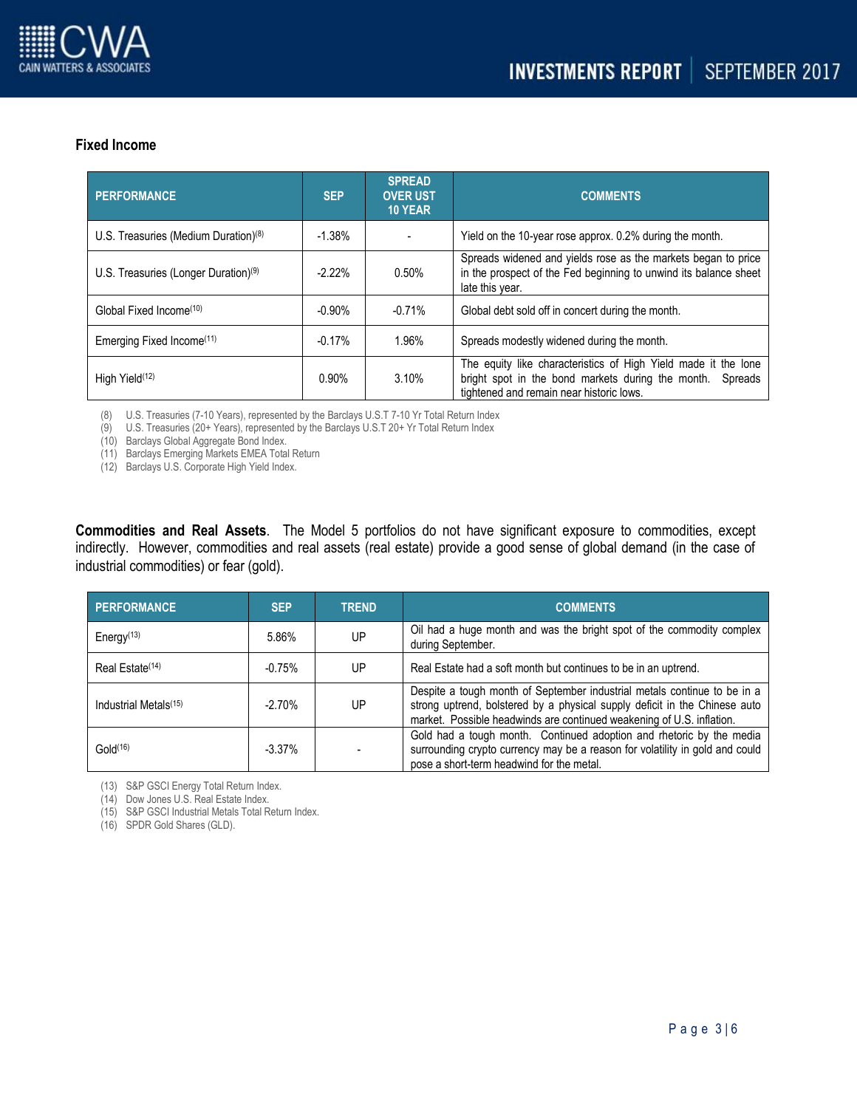

## **Fixed Income**

| <b>PERFORMANCE</b>                               | <b>SEP</b> | <b>SPREAD</b><br><b>OVER UST</b><br><b>10 YEAR</b> | <b>COMMENTS</b>                                                                                                                                                            |
|--------------------------------------------------|------------|----------------------------------------------------|----------------------------------------------------------------------------------------------------------------------------------------------------------------------------|
| U.S. Treasuries (Medium Duration) <sup>(8)</sup> | $-1.38%$   |                                                    | Yield on the 10-year rose approx. 0.2% during the month.                                                                                                                   |
| U.S. Treasuries (Longer Duration) <sup>(9)</sup> | $-2.22%$   | $0.50\%$                                           | Spreads widened and yields rose as the markets began to price<br>in the prospect of the Fed beginning to unwind its balance sheet<br>late this year.                       |
| Global Fixed Income <sup>(10)</sup>              | $-0.90%$   | $-0.71%$                                           | Global debt sold off in concert during the month.                                                                                                                          |
| Emerging Fixed Income <sup>(11)</sup>            | $-0.17%$   | 1.96%                                              | Spreads modestly widened during the month.                                                                                                                                 |
| High Yield <sup>(12)</sup>                       | $0.90\%$   | 3.10%                                              | The equity like characteristics of High Yield made it the lone<br>bright spot in the bond markets during the month.<br>Spreads<br>tightened and remain near historic lows. |

(8) U.S. Treasuries (7-10 Years), represented by the Barclays U.S.T 7-10 Yr Total Return Index

(9) U.S. Treasuries (20+ Years), represented by the Barclays U.S.T 20+ Yr Total Return Index

(10) Barclays Global Aggregate Bond Index.

(11) Barclays Emerging Markets EMEA Total Return

(12) Barclays U.S. Corporate High Yield Index.

**Commodities and Real Assets**. The Model 5 portfolios do not have significant exposure to commodities, except indirectly. However, commodities and real assets (real estate) provide a good sense of global demand (in the case of industrial commodities) or fear (gold).

| <b>PERFORMANCE</b>                  | <b>SEP</b> | <b>TREND</b> | <b>COMMENTS</b>                                                                                                                                                                                                                 |
|-------------------------------------|------------|--------------|---------------------------------------------------------------------------------------------------------------------------------------------------------------------------------------------------------------------------------|
| Energy <sup><math>(13)</math></sup> | 5.86%      | UP           | Oil had a huge month and was the bright spot of the commodity complex<br>during September.                                                                                                                                      |
| Real Estate <sup>(14)</sup>         | $-0.75%$   | UP           | Real Estate had a soft month but continues to be in an uptrend.                                                                                                                                                                 |
| Industrial Metals <sup>(15)</sup>   | -2.70%     | UP           | Despite a tough month of September industrial metals continue to be in a<br>strong uptrend, bolstered by a physical supply deficit in the Chinese auto<br>market. Possible headwinds are continued weakening of U.S. inflation. |
| Gold <sup>(16)</sup>                | $-3.37\%$  |              | Gold had a tough month. Continued adoption and rhetoric by the media<br>surrounding crypto currency may be a reason for volatility in gold and could<br>pose a short-term headwind for the metal.                               |

(13) S&P GSCI Energy Total Return Index.

(14) Dow Jones U.S. Real Estate Index.

(15) S&P GSCI Industrial Metals Total Return Index.

(16) SPDR Gold Shares (GLD).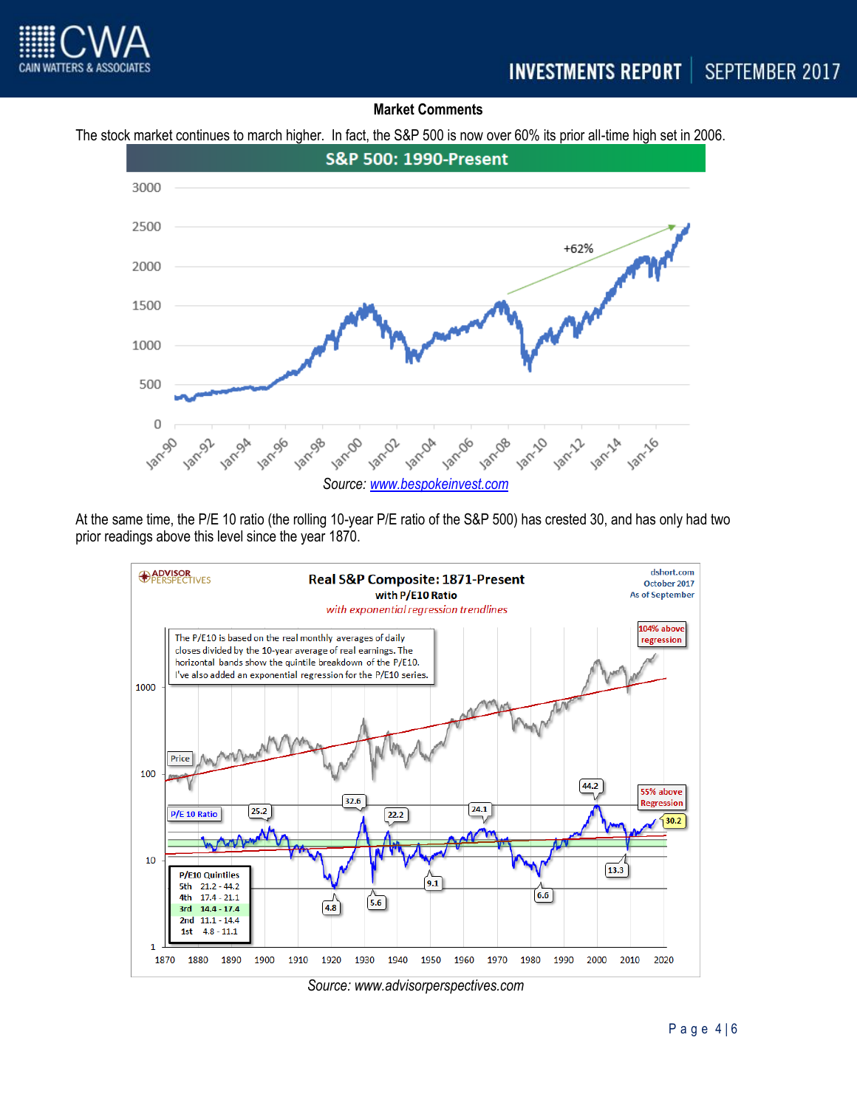

## **Market Comments**

The stock market continues to march higher. In fact, the S&P 500 is now over 60% its prior all-time high set in 2006.



At the same time, the P/E 10 ratio (the rolling 10-year P/E ratio of the S&P 500) has crested 30, and has only had two prior readings above this level since the year 1870.



*Source: www.advisorperspectives.com*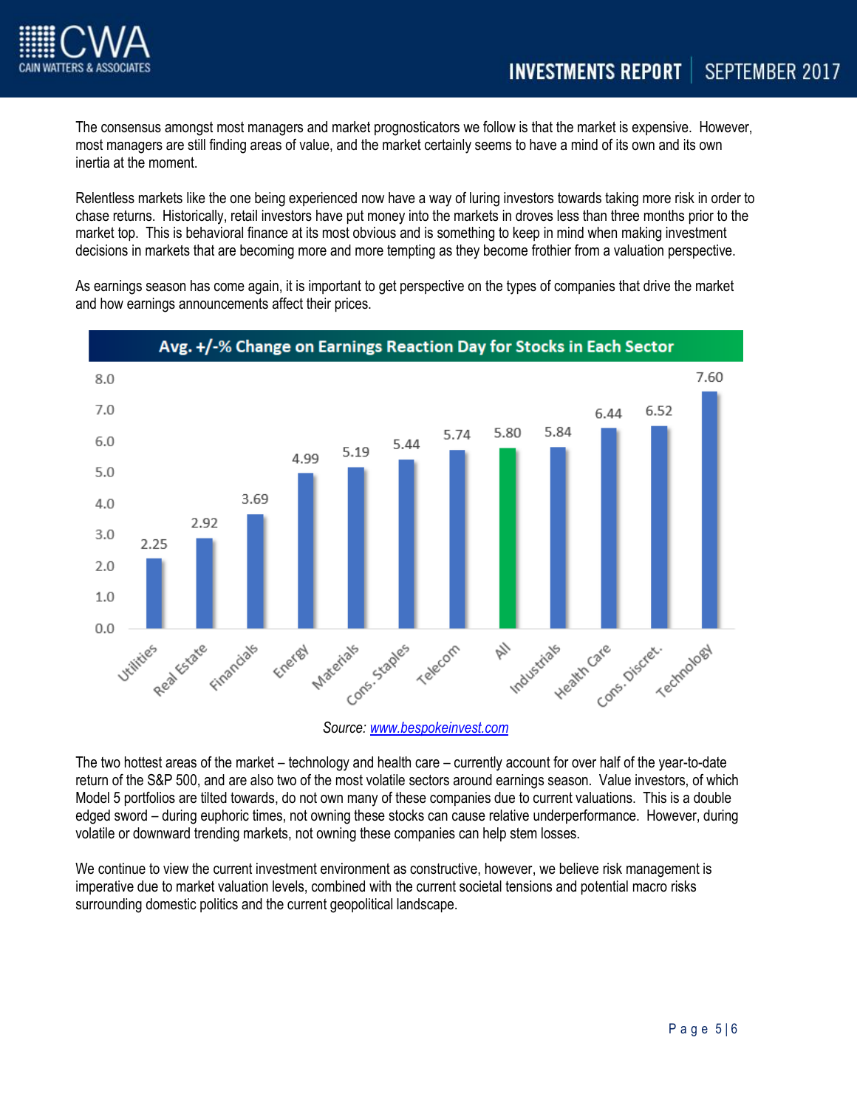

The consensus amongst most managers and market prognosticators we follow is that the market is expensive. However, most managers are still finding areas of value, and the market certainly seems to have a mind of its own and its own inertia at the moment.

Relentless markets like the one being experienced now have a way of luring investors towards taking more risk in order to chase returns. Historically, retail investors have put money into the markets in droves less than three months prior to the market top. This is behavioral finance at its most obvious and is something to keep in mind when making investment decisions in markets that are becoming more and more tempting as they become frothier from a valuation perspective.

As earnings season has come again, it is important to get perspective on the types of companies that drive the market and how earnings announcements affect their prices.



The two hottest areas of the market – technology and health care – currently account for over half of the year-to-date return of the S&P 500, and are also two of the most volatile sectors around earnings season. Value investors, of which Model 5 portfolios are tilted towards, do not own many of these companies due to current valuations. This is a double edged sword – during euphoric times, not owning these stocks can cause relative underperformance. However, during volatile or downward trending markets, not owning these companies can help stem losses.

We continue to view the current investment environment as constructive, however, we believe risk management is imperative due to market valuation levels, combined with the current societal tensions and potential macro risks surrounding domestic politics and the current geopolitical landscape.